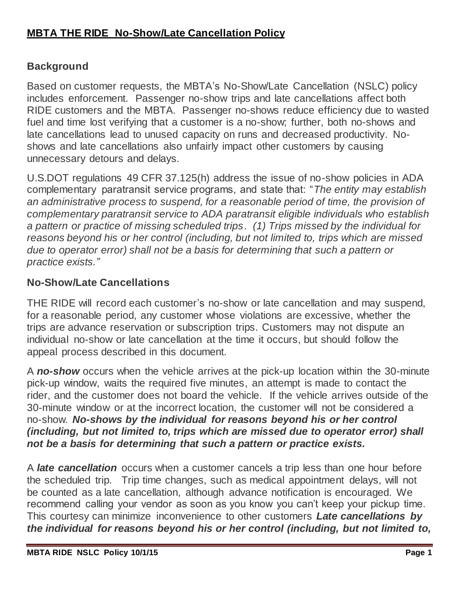## **Background**

Based on customer requests, the MBTA's No-Show/Late Cancellation (NSLC) policy includes enforcement. Passenger no-show trips and late cancellations affect both RIDE customers and the MBTA. Passenger no-shows reduce efficiency due to wasted fuel and time lost verifying that a customer is a no-show; further, both no-shows and late cancellations lead to unused capacity on runs and decreased productivity. Noshows and late cancellations also unfairly impact other customers by causing unnecessary detours and delays.

U.S.DOT regulations 49 CFR 37.125(h) address the issue of no-show policies in ADA complementary paratransit service programs, and state that: "*The entity may establish an administrative process to suspend, for a reasonable period of time, the provision of complementary paratransit service to ADA paratransit eligible individuals who establish a pattern or practice of missing scheduled trips*. *(1) Trips missed by the individual for reasons beyond his or her control (including, but not limited to, trips which are missed*  due to operator error) shall not be a basis for determining that such a pattern or *practice exists."*

## **No-Show/Late Cancellations**

THE RIDE will record each customer's no-show or late cancellation and may suspend, for a reasonable period, any customer whose violations are excessive, whether the trips are advance reservation or subscription trips. Customers may not dispute an individual no-show or late cancellation at the time it occurs, but should follow the appeal process described in this document.

A *no-show* occurs when the vehicle arrives at the pick-up location within the 30-minute pick-up window, waits the required five minutes, an attempt is made to contact the rider, and the customer does not board the vehicle. If the vehicle arrives outside of the 30-minute window or at the incorrect location, the customer will not be considered a no-show. *No-shows by the individual for reasons beyond his or her control (including, but not limited to, trips which are missed due to operator error) shall not be a basis for determining that such a pattern or practice exists.*

A *late cancellation* occurs when a customer cancels a trip less than one hour before the scheduled trip. Trip time changes, such as medical appointment delays, will not be counted as a late cancellation, although advance notification is encouraged. We recommend calling your vendor as soon as you know you can't keep your pickup time. This courtesy can minimize inconvenience to other customers *Late cancellations by the individual for reasons beyond his or her control (including, but not limited to,*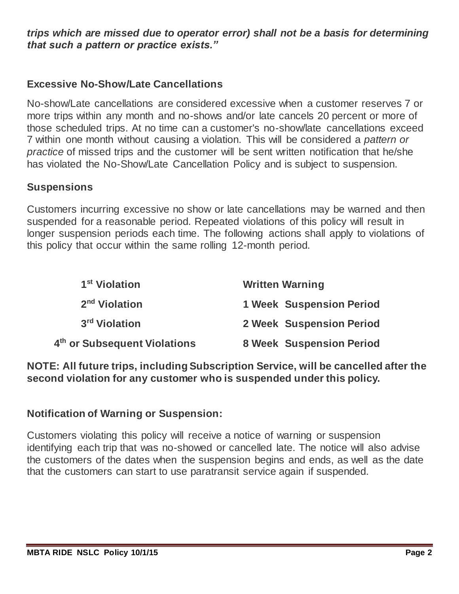*trips which are missed due to operator error) shall not be a basis for determining that such a pattern or practice exists."*

### **Excessive No-Show/Late Cancellations**

No-show/Late cancellations are considered excessive when a customer reserves 7 or more trips within any month and no-shows and/or late cancels 20 percent or more of those scheduled trips. At no time can a customer's no-show/late cancellations exceed 7 within one month without causing a violation. This will be considered a *pattern or practice* of missed trips and the customer will be sent written notification that he/she has violated the No-Show/Late Cancellation Policy and is subject to suspension.

#### **Suspensions**

Customers incurring excessive no show or late cancellations may be warned and then suspended for a reasonable period. Repeated violations of this policy will result in longer suspension periods each time. The following actions shall apply to violations of this policy that occur within the same rolling 12-month period.

| 1 <sup>st</sup> Violation                | <b>Written Warning</b>          |
|------------------------------------------|---------------------------------|
| 2 <sup>nd</sup> Violation                | <b>1 Week Suspension Period</b> |
| 3 <sup>rd</sup> Violation                | <b>2 Week Suspension Period</b> |
| 4 <sup>th</sup> or Subsequent Violations | <b>8 Week Suspension Period</b> |

**NOTE: All future trips, including Subscription Service, will be cancelled after the second violation for any customer who is suspended under this policy.**

#### **Notification of Warning or Suspension:**

Customers violating this policy will receive a notice of warning or suspension identifying each trip that was no-showed or cancelled late. The notice will also advise the customers of the dates when the suspension begins and ends, as well as the date that the customers can start to use paratransit service again if suspended.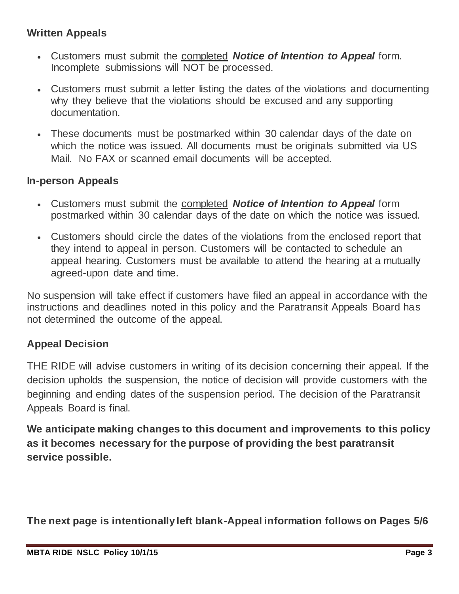## **Written Appeals**

- Customers must submit the completed *Notice of Intention to Appeal* form. Incomplete submissions will NOT be processed.
- Customers must submit a letter listing the dates of the violations and documenting why they believe that the violations should be excused and any supporting documentation.
- These documents must be postmarked within 30 calendar days of the date on which the notice was issued. All documents must be originals submitted via US Mail. No FAX or scanned email documents will be accepted.

#### **In-person Appeals**

- Customers must submit the completed *Notice of Intention to Appeal* form postmarked within 30 calendar days of the date on which the notice was issued.
- Customers should circle the dates of the violations from the enclosed report that they intend to appeal in person. Customers will be contacted to schedule an appeal hearing. Customers must be available to attend the hearing at a mutually agreed-upon date and time.

No suspension will take effect if customers have filed an appeal in accordance with the instructions and deadlines noted in this policy and the Paratransit Appeals Board has not determined the outcome of the appeal.

## **Appeal Decision**

THE RIDE will advise customers in writing of its decision concerning their appeal. If the decision upholds the suspension, the notice of decision will provide customers with the beginning and ending dates of the suspension period. The decision of the Paratransit Appeals Board is final.

**We anticipate making changes to this document and improvements to this policy as it becomes necessary for the purpose of providing the best paratransit service possible.**

**The next page is intentionally left blank-Appeal information follows on Pages 5/6**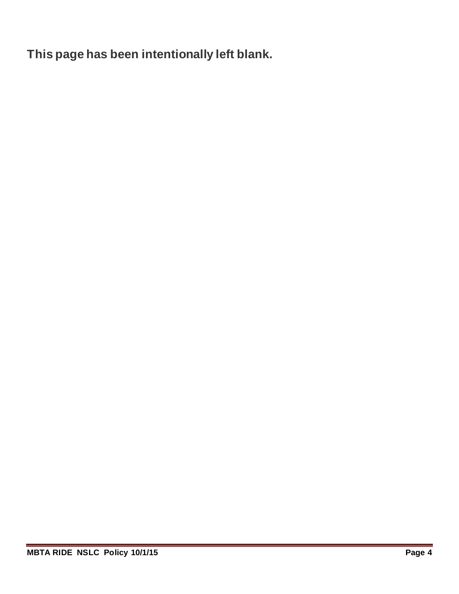**This page has been intentionally left blank.**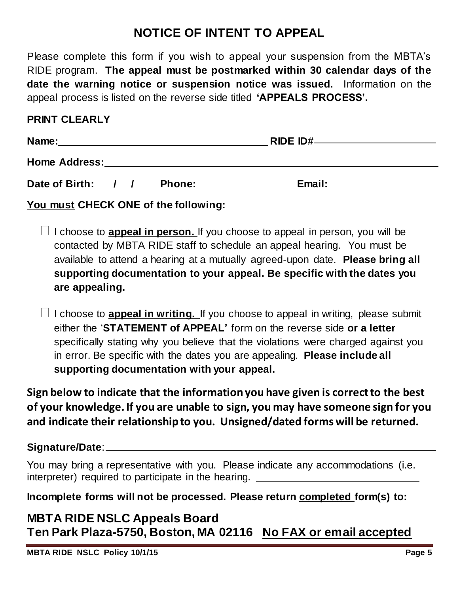# **NOTICE OF INTENT TO APPEAL**

Please complete this form if you wish to appeal your suspension from the MBTA's RIDE program. **The appeal must be postmarked within 30 calendar days of the date the warning notice or suspension notice was issued.** Information on the appeal process is listed on the reverse side titled **'APPEALS PROCESS'.**

#### **PRINT CLEARLY**

| Name:                |  |  | <b>RIDE ID#</b> |        |
|----------------------|--|--|-----------------|--------|
| <b>Home Address:</b> |  |  |                 |        |
| Date of Birth:       |  |  | <b>Phone:</b>   | Email: |

### **You must CHECK ONE of the following:**

 $\Box$  I choose to **appeal in person.** If you choose to appeal in person, you will be contacted by MBTA RIDE staff to schedule an appeal hearing. You must be available to attend a hearing at a mutually agreed-upon date. **Please bring all supporting documentation to your appeal. Be specific with the dates you are appealing.**

 $\Box$  I choose to **appeal in writing.** If you choose to appeal in writing, please submit either the '**STATEMENT of APPEAL'** form on the reverse side **or a letter** specifically stating why you believe that the violations were charged against you in error. Be specific with the dates you are appealing. **Please include all supporting documentation with your appeal.**

**Sign below to indicate that the information you have given is correct to the best of your knowledge. If you are unable to sign, you may have someone sign for you and indicate their relationship to you. Unsigned/dated forms will be returned.**

#### **Signature/Date**:

You may bring a representative with you. Please indicate any accommodations (i.e. interpreter) required to participate in the hearing.

**Incomplete forms will not be processed. Please return completed form(s) to:**

# **MBTA RIDE NSLC Appeals Board Ten Park Plaza-5750, Boston, MA 02116 No FAX or email accepted**